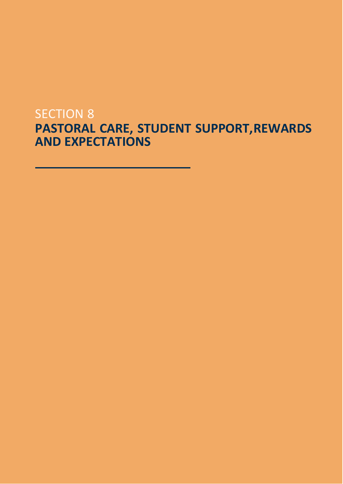# SECTION 8 **PASTORAL CARE, STUDENT SUPPORT,REWARDS AND EXPECTATIONS**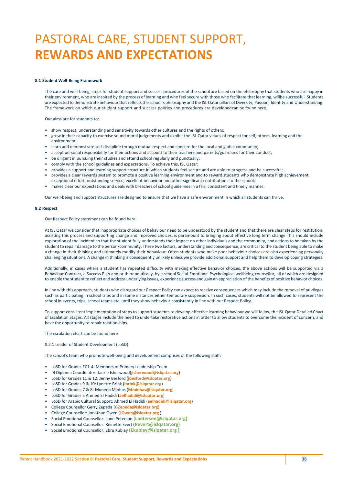# PASTORAL CARE, STUDENT SUPPORT, **REWARDS AND EXPECTATIONS**

# **8.1 Student Well-Being Framework**

The care and well-being, steps for student support and success procedures of the school are based on the philosophy that students who are happy in their environment, who are inspired by the process of learning and who feel secure with those who facilitate that learning, willbe successful. Students are expected to demonstrate behaviour that reflects the school's philosophy and the ISL Qatar pillars of Diversity, Passion, Identity and Understanding. The framework on which our student support and success policies and procedures are developedcan be found here.

Our aims are for students to:

- show respect, understanding and sensitivity towards other cultures and the rights of others;
- grow in their capacity to exercise sound moral judgements and exhibit the ISL Qatar values of respect for self, others, learning and the environment.
- learn and demonstrate self-discipline through mutual respect and concern for the local and global community;
- accept personal responsibility for their actions and account to their teachers and parents/guardians for their conduct;
- be diligent in pursuing their studies and attend school regularly and punctually;
- comply with the school guidelines and expectations. To achieve this, ISL Qatar:
- provides a support and learning support structure in which students feel secure and are able to progress and be successful;
- provides a clear rewards system to promote a positive learning environment and to reward students who demonstrate high achievement,
- exceptional effort, outstanding service, excellent behaviour and other significant contributions to the school; • makes clear our expectations and deals with breaches of school guidelines in a fair, consistent and timely manner.

Our well-being and support structures are designed to ensure that we have a safe environment in which all students can thrive.

#### **8.2 Respect**

Our Respect Policy statement can be found here.

At ISL Qatar we consider that inappropriate choices of behaviour need to be understood by the student and that there are clear steps for restitution; assisting this process and supporting change and improved choices, is paramount to bringing about effective long term change.This should include exploration of the incident so that the student fully understands their impact on other individuals and the community, and actions to be taken by the student to repair damage to the person/community. These two factors, understanding and consequence, are critical to the student being able to make a change in their thinking and ultimately modify their behaviour. Often students who make poor behaviour choices are also experiencing personally challenging situations. A change in thinking is consequently unlikely unless we provide additional support and help them to develop coping strategies.

Additionally, in cases where a student has repeated difficulty with making effective behavior choices, the above actions will be supported via a Behaviour Contract, a Success Plan and or therapeutically, by a school Social-Emotional Psychological wellbeing counsellor, all of which are designed to enable the student to reflect and address underlying issues, experience success and gain an appreciation of the benefits of positive behavior choices.

In line with this approach, students who disregard our Respect Policy can expect to receive consequences which may include the removal of privileges such as participating in school trips and in some instances either temporary suspension. In such cases, students will not be allowed to represent the school in events, trips, school teams etc. until they show behaviour consistently in line with our Respect Policy.

To support consistent implementation of steps to support students to develop effective learning behaviour we will follow the ISL Qatar Detailed Chart of Escalation Stages. All stages include the need to undertake restorative actions in order to allow students to overcome the incident of concern, and have the opportunity to repair relationships.

The escalation chart can be found here

8.2.1 Leader of Student Development (LoSD):

The school's team who promote well-being and development comprises of the following staff:

- LoSD for Grades EC1-4: Members of Primary Leadership Team
- IB Diploma Coordinator: Jackie Isherwood(**jisherwood@islqatar.org**)
- LoSD for Grades 11 & 12: Jenny Besford (**jbesford@islqatar.org**)
- LoSD for Grades 9 & 10: Lynette Brink (**lbrink@islqatar.org**)
- LoSD for Grades 7 & 8: Moneeb Minhas (**Mminhas@islqatar.org**)
- LoSD for Grades 5 Ahmed El Hadidi (**aelhadidi@islqatar.org**)
- LoSD for Arabic Cultural Support: Ahmed El Hadidi (**aelhadidi@islqatar.org**)
- College Counsellor Gerry Zepeda (**GZepeda@islqatar.org)**
- College Counsellor: Jonathan Owen (**[JOwen@islqatar.org](mailto:JOwen@islqatar.org)** )
- Social Emotional Counsellor: Lone Peterson (**Lpetersen@islqatar.org)**
- Social Emotional Counsellor: Reinette Evert **(Revert@islqatar.org)**
- Social Emotional Counsellor: Ebru Kublay **(Ekublay@islqatar.org )**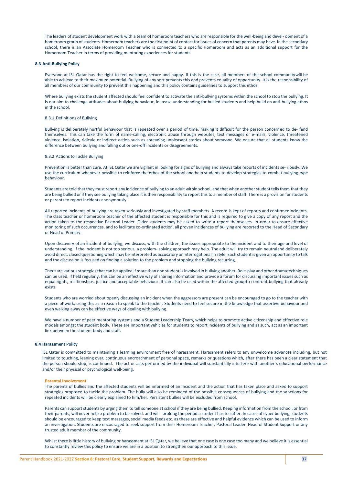The leaders of student development work with a team of homeroom teachers who are responsible for the well-being and devel- opment of a homeroom group of students. Homeroom teachers are the first point of contact for issues of concern that parents may have. In the secondary school, there is an Associate Homeroom Teacher who is connected to a specific Homeroom and acts as an additional support for the Homeroom Teacher in terms of providing mentoring experiences for students

#### **8.3 Anti-Bullying Policy**

Everyone at ISL Qatar has the right to feel welcome, secure and happy. If this is the case, all members of the school communitywill be able to achieve to their maximum potential. Bullying of any sort prevents this and prevents equality of opportunity. It is the responsibility of all members of our community to prevent this happening and this policy contains guidelines to support this ethos.

Where bullying exists the student affected should feel confident to activate the anti-bullying systems within the school to stop the bullying. It is our aim to challenge attitudes about bullying behaviour, increase understanding for bullied students and help build an anti-bullying ethos in the school.

### 8.3.1 Definitions of Bullying

Bullying is deliberately hurtful behaviour that is repeated over a period of time, making it difficult for the person concerned to de- fend themselves. This can take the form of name-calling, electronic abuse through websites, text messages or e-mails, violence, threatened violence, isolation, ridicule or indirect action such as spreading unpleasant stories about someone. We ensure that all students know the difference between bullying and falling out or one-off incidents or disagreements.

# 8.3.2 Actions to Tackle Bullying

Prevention is better than cure. At ISL Qatar we are vigilant in looking for signs of bullying and always take reports of incidents se- riously. We use the curriculum whenever possible to reinforce the ethos of the school and help students to develop strategies to combat bullying-type behaviour.

Students are told that they must report any incidence of bullying to an adult within school, and that when another student tells them that they are being bullied or if they see bullying taking place it is their responsibility to report this to a member of staff. There is a provision for students or parents to report incidents anonymously.

All reported incidents of bullying are taken seriously and investigated by staff members. A record is kept of reports and confirmedincidents. The class teacher or homeroom teacher of the affected student is responsible for this and is required to give a copy of any report and the action taken to the respective Pastoral Leader. Older students may be asked to write a report themselves. In order to ensure effective monitoring of such occurrences, and to facilitate co-ordinated action, all proven incidences of bullying are reported to the Head of Secondary or Head of Primary.

Upon discovery of an incident of bullying, we discuss, with the children, the issues appropriate to the incident and to their age and level of understanding. If the incident is not too serious, a problem- solving approach may help. The adult will try to remain neutraland deliberately avoid direct, closed questioning which may be interpreted as accusatory orinterrogational in style. Each student is given an opportunity to talk and the discussion is focused on finding a solution to the problem and stopping the bullying recurring.

There are various strategies that can be applied if more than one student is involved in bullying another. Role-play and other dramatechniques can be used. If held regularly, this can be an effective way of sharing information and provide a forum for discussing important issues such as equal rights, relationships, justice and acceptable behaviour. It can also be used within the affected groupto confront bullying that already exists.

Students who are worried about openly discussing an incident when the aggressors are present can be encouraged to go to the teacher with a piece of work, using this as a reason to speak to the teacher. Students need to feel secure in the knowledge that assertive behaviour and even walking away can be effective ways of dealing with bullying.

We have a number of peer mentoring systems and a Student Leadership Team, which helps to promote active citizenship and effective role models amongst the student body. These are important vehicles for students to report incidents of bullying and as such, act as an important link between the student body and staff.

# **8.4 Harassment Policy**

ISL Qatar is committed to maintaining a learning environment free of harassment. Harassment refers to any unwelcome advances including, but not limited to touching, leaning over, continuous encroachment of personal space, remarks or questions which, after there has been a clear statement that the person should stop, is continued. The act or acts performed by the individual will substantially interfere with another's educational performance and/or their physical or psychological well-being.

#### **Parental Involvement**

The parents of bullies and the affected students will be informed of an incident and the action that has taken place and asked to support strategies proposed to tackle the problem. The bully will also be reminded of the possible consequences of bullying and the sanctions for repeated incidents will be clearly explained to him/her. Persistent bullies will be excluded from school.

Parents can support students by urging them to tell someone at school if they are being bullied. Keeping information from the school, or from their parents, will never help a problem to be solved, and will prolong the period a student has to suffer. In cases of cyber bullying, students should be encouraged to keep text messages, social media feeds etc. as these are effective and helpful evidence which can be used to inform an investigation. Students are encouraged to seek support from their Homeroom Teacher, Pastoral Leader, Head of Student Support or any trusted adult member of the community.

Whilst there is little history of bullying or harassment at ISL Qatar, we believe that one case is one case too many and we believe it is essential to constantly review this policy to ensure we are in a position to strengthen our approach to this issue.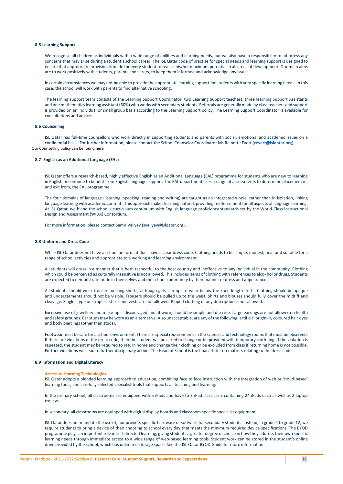#### **8.5 Learning Support**

We recognise all children as individuals with a wide range of abilities and learning needs, but we also have a responsibility to ad- dress any concerns that may arise during a student's school career. The ISL Qatar code of practise for special needs and learning support is designed to ensure that appropriate provision is made for every student to realise his/her maximum potential in all areas of development. Our main aims are to work positively with students, parents and carers, to keep them informed and acknowledge any issues.

In certain circumstances we may not be able to provide the appropriate learning support for students with very specific learning needs. In this case, the school will work with parents to find alternative schooling.

The learning support team consists of the Learning Support Coordinator, two Learning Support teachers, three learning Support Assistants and one mathematics learning assistant (50%) who works with secondary students. Referrals are generally made by classteachers and support is provided on an individual or small group basis according to the Learning Support policy. The Learning Support Coordinator is available for consultations and advice.

# **8.6 Counselling**

ISL Qatar has full-time counsellors who work directly in supporting students and parents with social, emotional and academic issues on a confidential basis. For further information, please contact the School Counselor Coordinator Ms Reinette Evert (**[revert@islqatar.org](mailto:revert@islqatar.org)**). Our Counselling policy can be found here

# **8.7 English as an Additional Language (EAL)**

ISL Qatar offers a research-based, highly effective English as an Additional Language (EAL) programme for students who are new to learning in English or continue to benefit from English language support. The EAL department uses a range of assessments to determine placement in, and exit from, the EAL programme.

The four domains of language (listening, speaking, reading and writing) are taught as an integrated whole, rather than in isolation, linking language learning with academic content. This approach makes learning natural, providing reinforcement for all aspects of language learning. At ISL Qatar, we blend the school's curriculum continuum with English language proficiency standards set by the World-Class Instructional Design and Assessment (WIDA) Consortium.

For more information, please contact Samir Valiyev [\(svaliyev@islqatar.org\).](mailto:svaliyev@islqatar.org)

#### **8.8 Uniform and Dress Code**

While ISL Qatar does not have a school uniform, it does have a clear dress code. Clothing needs to be simple, modest, neat and suitable for a range of school activities and appropriate to a working and learning environment.

All students will dress in a manner that is both respectful to the host country and inoffensive to any individual in the community. Clothing which could be perceived as culturally insensitive is not allowed. This includes items of clothing with references to alco- hol or drugs. Students are expected to demonstrate pride in themselves and the school community by their manner of dress and appearance.

All students should wear trousers or long shorts, although girls can opt to wear below-the-knee length skirts. Clothing should be opaque and undergarments should not be visible. Trousers should be pulled up to the waist. Shirts and blouses should fully cover the midriff and cleavage. Singlet-type or strapless shirts and vests are not allowed. Ripped clothing of any description is not allowed.

Excessive use of jewellery and make-up is discouraged and, if worn, should be simple and discrete. Large earrings are not allowedon health and safety grounds. Earstuds may be worn as an alternative. Also unacceptable, are any of the following: artificial bright- ly coloured hair dyes and body piercings (other than studs).

Footwear must be safe for a school environment. There are special requirements in the science and technology rooms that must be observed. If there are violations of the dress code, then the student will be asked to change or be provided with temporary cloth- ing. If the violation is repeated, the student may be required to return home and change their clothing or be excluded from class if returning home is not possible. Further violations will lead to further disciplinary action. The Head of School is the final arbiter on matters relating to the dress code.

### **8.9 Information and Digital Literacy**

#### **Access to Learning Technologies**

ISL Qatar adopts a blended learning approach to education, combining face to face instruction with the integration of web or 'cloud-based' learning tools, and carefully selected specialist tools that supports all teaching and learning.

In the primary school, all classrooms are equipped with 5 iPads and have to 3 iPad class carts containing 24 iPads each as well as 2 laptop trolleys.

In secondary, all classrooms are equipped with digital display boards and classroom specific specialist equipment.

ISL Qatar does not mandate the use of, nor provide, specific hardware or software for secondary students. Instead, in grade 4 to grade 12, we require students to bring a device of their choosing to school every day that meets the minimum required device specifications. The BYOD programme plays an important role in self-directed learning, giving students a greater degree of choice in how they address their own specific learning needs through immediate access to a wide range of web-based learning tools. Student work can be stored in the student's online drive provided by the school, which has unlimited storage space. See the ISL Qatar BYOD Guide for more information.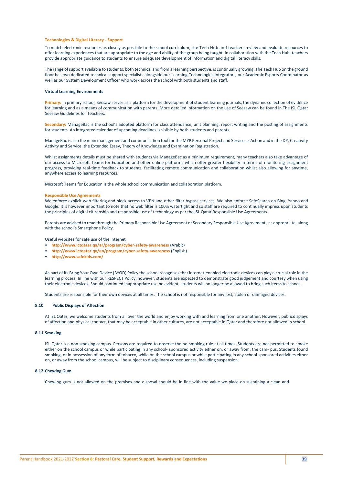#### **Technologies & Digital Literacy - Support**

To match electronic resources as closely as possible to the school curriculum, the Tech Hub and teachers review and evaluate resources to offer learning experiences that are appropriate to the age and ability of the group being taught. In collaboration with the Tech Hub, teachers provide appropriate guidance to students to ensure adequate development of information and digital literacy skills.

The range of support available to students, both technical and from a learning perspective, is continually growing. The Tech Hub on the ground floor has two dedicated technical support specialists alongside our Learning Technologies Integrators, our Academic Esports Coordinator as well as our System Development Officer who work across the school with both students and staff.

### **Virtual Learning Environments**

**Primary:** In primary school, Seesaw serves as a platform for the development of student learning journals, the dynamic collection of evidence for learning and as a means of communication with parents. More detailed information on the use of Seesaw can be found in The ISL Qatar Seesaw Guidelines for Teachers.

**Secondary:** ManageBac is the school's adopted platform for class attendance, unit planning, report writing and the posting of assignments for students. An integrated calendar of upcoming deadlines is visible by both students and parents.

ManageBac is also the main management and communication tool for the MYP Personal Project and Service as Action and in the DP, Creativity Activity and Service, the Extended Essay, Theory of Knowledge and Examination Registration.

Whilst assignments details must be shared with students via ManageBac as a minimum requirement, many teachers also take advantage of our access to Microsoft Teams for Education and other online platforms which offer greater flexibility in terms of monitoring assignment progress, providing real-time feedback to students, facilitating remote communication and collaboration whilst also allowing for anytime, anywhere access to learning resources.

Microsoft Teams for Education is the whole school communication and collaboration platform.

# **Responsible Use Agreements**

We enforce explicit web filtering and block access to VPN and other filter bypass services. We also enforce SafeSearch on Bing, Yahoo and Google. It is however important to note that no web filter is 100% watertight and so staff are required to continually impress upon students the principles of digital citizenship and responsible use of technology as per the ISL Qatar Responsible Use Agreements.

Parents are advised to read through the Primary Responsible Use Agreement or Secondary Responsible Use Agreement , as appropriate, along with the school's Smartphone Policy.

Useful websites for safe use of the internet

- **<http://www.ictqatar.qa/ar/program/cyber-safety-awareness>** (Arabic)
- **<http://www.ictqatar.qa/en/program/cyber-safety-awareness>** (English)
- **<http://www.safekids.com/>**

As part of its Bring Your Own Device (BYOD) Policy the school recognises that internet-enabled electronic devices can play a crucial role in the learning process. In line with our RESPECT Policy, however, students are expected to demonstrate good judgement and courtesy when using their electronic devices. Should continued inappropriate use be evident, students will no longer be allowed to bring such items to school.

Students are responsible for their own devices at all times. The school is not responsible for any lost, stolen or damaged devices.

# **8.10 Public Displays of Affection**

At ISL Qatar, we welcome students from all over the world and enjoy working with and learning from one another. However, publicdisplays of affection and physical contact, that may be acceptable in other cultures, are not acceptable in Qatar and therefore not allowed in school.

# **8.11 Smoking**

ISL Qatar is a non-smoking campus. Persons are required to observe the no-smoking rule at all times. Students are not permitted to smoke either on the school campus or while participating in any school- sponsored activity either on, or away from, the cam- pus. Students found smoking, or in possession of any form of tobacco, while on the school campus or while participating in any school-sponsored activities either on, or away from the school campus, will be subject to disciplinary consequences, including suspension.

# **8.12 Chewing Gum**

Chewing gum is not allowed on the premises and disposal should be in line with the value we place on sustaining a clean and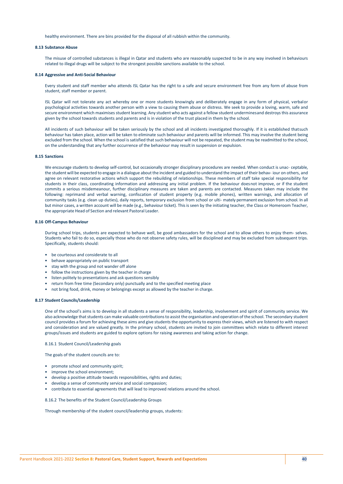healthy environment. There are bins provided for the disposal of all rubbish within the community.

# **8.13 Substance Abuse**

The misuse of controlled substances is illegal in Qatar and students who are reasonably suspected to be in any way involved in behaviours related to illegal drugs will be subject to the strongest possible sanctions available to the school.

#### **8.14 Aggressive and Anti-Social Behaviour**

Every student and staff member who attends ISL Qatar has the right to a safe and secure environment free from any form of abuse from student, staff member or parent.

ISL Qatar will not tolerate any act whereby one or more students knowingly and deliberately engage in any form of physical, verbalor psychological activities towards another person with a view to causing them abuse or distress. We seek to provide a loving, warm, safe and secure environment which maximises student learning. Any student who acts against a fellow student underminesand destroys this assurance given by the school towards students and parents and is in violation of the trust placed in them by the school.

All incidents of such behaviour will be taken seriously by the school and all incidents investigated thoroughly. If it is established thatsuch behaviour has taken place, action will be taken to eliminate such behaviour and parents will be informed. This may involve the student being excluded from the school. When the school is satisfied that such behaviour will not be repeated, the student may be readmitted to the school, on the understanding that any further occurrence of the behaviour may result in suspension or expulsion.

# **8.15 Sanctions**

We encourage students to develop self-control, but occasionally stronger disciplinary procedures are needed. When conduct is unac- ceptable, the student will be expected to engage in a dialogue about the incident and guided to understand the impact of their behav- iour on others, and agree on relevant restorative actions which support the rebuilding of relationships. These members of staff take special responsibility for students in their class, coordinating information and addressing any initial problem. If the behaviour doesnot improve, or if the student commits a serious misdemeanour, further disciplinary measures are taken and parents are contacted. Measures taken may include the following: reprimand and verbal warning, confiscation of student property (e.g. mobile phones), written warnings, and allocation of community tasks (e.g. clean up duties), daily reports, temporary exclusion from school or ulti- mately permanent exclusion from school. In all but minor cases, a written account will be made (e.g., behaviour ticket). Thisis seen by the initiating teacher, the Class or Homeroom Teacher, the appropriate Head of Section and relevant Pastoral Leader.

# **8.16 Off-Campus Behaviour**

During school trips, students are expected to behave well, be good ambassadors for the school and to allow others to enjoy them- selves. Students who fail to do so, especially those who do not observe safety rules, will be disciplined and may be excluded from subsequent trips. Specifically, students should:

- be courteous and considerate to all
- behave appropriately on public transport
- stay with the group and not wander off alone
- follow the instructions given by the teacher in charge
- listen politely to presentations and ask questions sensibly
- return from free time (Secondary only) punctually and to the specified meeting place
- not bring food, drink, money or belongings except as allowed by the teacher in charge.

## **8.17 Student Councils/Leadership**

One of the school's aims is to develop in all students a sense of responsibility, leadership, involvement and spirit of community service. We also acknowledge that students can make valuable contributions to assist the organisation and operation of the school. The secondary student council provides a forum for achieving these aims and give students the opportunity to express their views, which are listened to with respect and consideration and are valued greatly. In the primary school, students are invited to join committees which relate to different interest groups/issues and students are guided to explore options for raising awareness and taking action for change.

8.16.1 Student Council/Leadership goals

The goals of the student councils are to:

- promote school and community spirit;
- improve the school environment;
- develop a positive attitude towards responsibilities, rights and duties;
- develop a sense of community service and social compassion;
- contribute to essential agreements that will lead to improved relations around the school.

8.16.2 The benefits of the Student Council/Leadership Groups

Through membership of the student council/leadership groups, students: